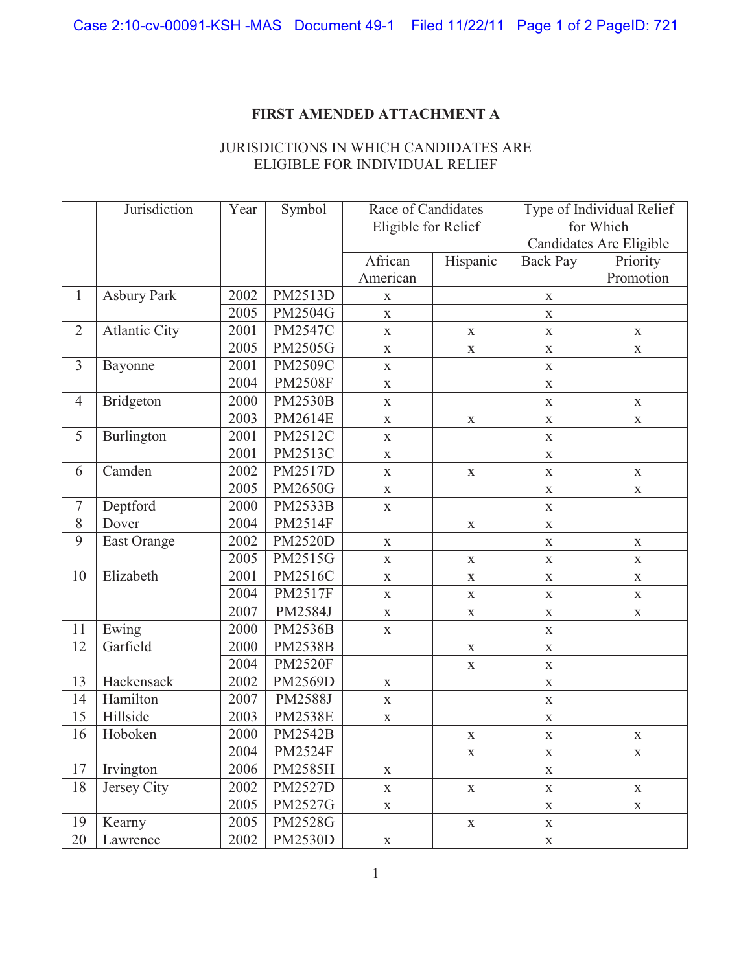## **FIRST AMENDED ATTACHMENT A**

## JURISDICTIONS IN WHICH CANDIDATES ARE ELIGIBLE FOR INDIVIDUAL RELIEF

|                | Jurisdiction         | Year | Symbol         | Race of Candidates  |             | Type of Individual Relief |             |
|----------------|----------------------|------|----------------|---------------------|-------------|---------------------------|-------------|
|                |                      |      |                | Eligible for Relief |             | for Which                 |             |
|                |                      |      |                |                     |             | Candidates Are Eligible   |             |
|                |                      |      |                | African             | Hispanic    | Back Pay                  | Priority    |
|                |                      |      |                | American            |             |                           | Promotion   |
| $\mathbf{1}$   | <b>Asbury Park</b>   | 2002 | PM2513D        | X                   |             | $\mathbf X$               |             |
|                |                      | 2005 | PM2504G        | $\mathbf X$         |             | $\mathbf X$               |             |
| $\overline{2}$ | <b>Atlantic City</b> | 2001 | PM2547C        | $\mathbf X$         | $\mathbf X$ | X                         | $\mathbf X$ |
|                |                      | 2005 | PM2505G        | $\mathbf X$         | $\mathbf X$ | $\mathbf X$               | $\mathbf X$ |
| 3              | Bayonne              | 2001 | <b>PM2509C</b> | $\mathbf X$         |             | $\mathbf X$               |             |
|                |                      | 2004 | <b>PM2508F</b> | $\mathbf X$         |             | $\mathbf X$               |             |
| $\overline{4}$ | <b>Bridgeton</b>     | 2000 | <b>PM2530B</b> | $\mathbf X$         |             | $\mathbf X$               | X           |
|                |                      | 2003 | PM2614E        | $\mathbf X$         | $\mathbf X$ | $\mathbf X$               | $\mathbf X$ |
| 5              | Burlington           | 2001 | PM2512C        | $\mathbf X$         |             | $\mathbf X$               |             |
|                |                      | 2001 | PM2513C        | $\mathbf X$         |             | $\mathbf X$               |             |
| 6              | Camden               | 2002 | PM2517D        | $\mathbf X$         | $\mathbf X$ | $\mathbf X$               | $\mathbf X$ |
|                |                      | 2005 | <b>PM2650G</b> | $\mathbf X$         |             | $\mathbf X$               | $\mathbf X$ |
| $\tau$         | Deptford             | 2000 | PM2533B        | $\mathbf X$         |             | $\mathbf X$               |             |
| 8              | Dover                | 2004 | PM2514F        |                     | $\mathbf X$ | $\mathbf X$               |             |
| 9              | East Orange          | 2002 | <b>PM2520D</b> | $\mathbf X$         |             | $\mathbf X$               | $\mathbf X$ |
|                |                      | 2005 | PM2515G        | $\mathbf X$         | $\mathbf X$ | $\mathbf X$               | $\mathbf X$ |
| 10             | Elizabeth            | 2001 | PM2516C        | $\mathbf X$         | $\mathbf X$ | $\mathbf X$               | $\mathbf X$ |
|                |                      | 2004 | <b>PM2517F</b> | $\mathbf X$         | $\mathbf X$ | X                         | $\mathbf X$ |
|                |                      | 2007 | PM2584J        | $\mathbf X$         | $\mathbf X$ | $\mathbf X$               | $\mathbf X$ |
| 11             | Ewing                | 2000 | <b>PM2536B</b> | $\mathbf X$         |             | X                         |             |
| 12             | Garfield             | 2000 | <b>PM2538B</b> |                     | $\mathbf X$ | $\mathbf X$               |             |
|                |                      | 2004 | <b>PM2520F</b> |                     | $\mathbf X$ | $\mathbf X$               |             |
| 13             | Hackensack           | 2002 | PM2569D        | $\mathbf X$         |             | $\mathbf X$               |             |
| 14             | Hamilton             | 2007 | PM2588J        | $\mathbf X$         |             | $\mathbf X$               |             |
| 15             | Hillside             | 2003 | <b>PM2538E</b> | $\mathbf X$         |             | $\mathbf X$               |             |
| 16             | Hoboken              | 2000 | <b>PM2542B</b> |                     | $\mathbf X$ | $\mathbf X$               | $\mathbf X$ |
|                |                      | 2004 | <b>PM2524F</b> |                     | X.          | X                         | X.          |
| 17             | Irvington            | 2006 | PM2585H        | $\mathbf X$         |             | $\mathbf X$               |             |
| 18             | Jersey City          | 2002 | <b>PM2527D</b> | $\mathbf X$         | $\mathbf X$ | $\mathbf X$               | $\mathbf X$ |
|                |                      | 2005 | PM2527G        | $\mathbf X$         |             | $\mathbf X$               | $\mathbf X$ |
| 19             | Kearny               | 2005 | PM2528G        |                     | $\mathbf X$ | $\mathbf X$               |             |
| 20             | Lawrence             | 2002 | <b>PM2530D</b> | $\mathbf X$         |             | $\mathbf X$               |             |